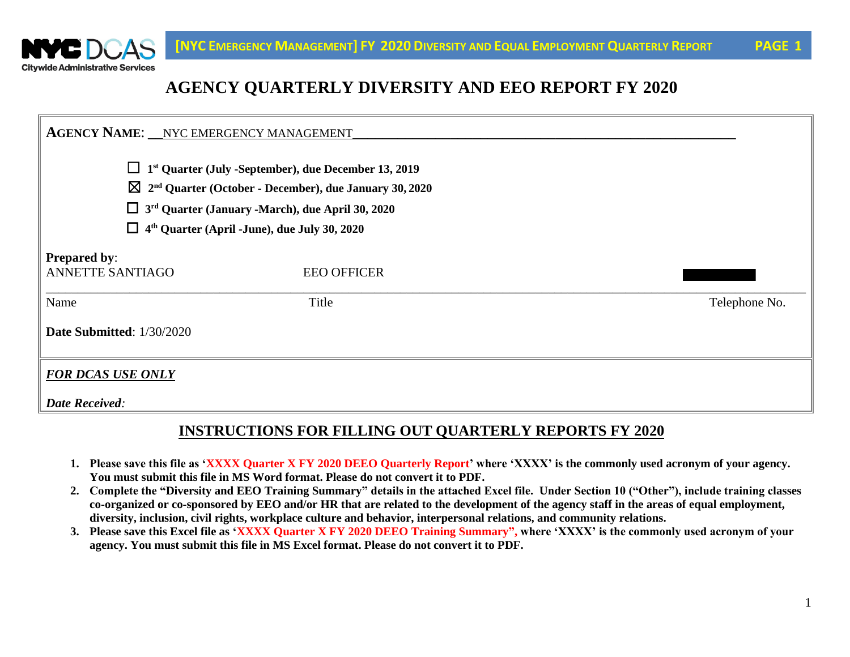

# **AGENCY QUARTERLY DIVERSITY AND EEO REPORT FY 2020**

| <b>AGENCY NAME: __ NYC EMERGENCY MANAGEMENT</b>                                                                                                                                                                                                                                          |                    |               |  |  |  |  |  |
|------------------------------------------------------------------------------------------------------------------------------------------------------------------------------------------------------------------------------------------------------------------------------------------|--------------------|---------------|--|--|--|--|--|
| 1st Quarter (July -September), due December 13, 2019<br>ப<br>$\boxtimes$ 2 <sup>nd</sup> Quarter (October - December), due January 30, 2020<br>$\Box$ 3 <sup>rd</sup> Quarter (January -March), due April 30, 2020<br>4 <sup>th</sup> Quarter (April -June), due July 30, 2020<br>$\Box$ |                    |               |  |  |  |  |  |
| <b>Prepared by:</b><br><b>ANNETTE SANTIAGO</b>                                                                                                                                                                                                                                           | <b>EEO OFFICER</b> |               |  |  |  |  |  |
| Name                                                                                                                                                                                                                                                                                     | Title              | Telephone No. |  |  |  |  |  |
| Date Submitted: 1/30/2020                                                                                                                                                                                                                                                                |                    |               |  |  |  |  |  |
| <b>FOR DCAS USE ONLY</b>                                                                                                                                                                                                                                                                 |                    |               |  |  |  |  |  |
| <b>Date Received:</b>                                                                                                                                                                                                                                                                    |                    |               |  |  |  |  |  |

#### **INSTRUCTIONS FOR FILLING OUT QUARTERLY REPORTS FY 2020**

- **1. Please save this file as 'XXXX Quarter X FY 2020 DEEO Quarterly Report' where 'XXXX' is the commonly used acronym of your agency. You must submit this file in MS Word format. Please do not convert it to PDF.**
- **2. Complete the "Diversity and EEO Training Summary" details in the attached Excel file. Under Section 10 ("Other"), include training classes co-organized or co-sponsored by EEO and/or HR that are related to the development of the agency staff in the areas of equal employment, diversity, inclusion, civil rights, workplace culture and behavior, interpersonal relations, and community relations.**
- **3. Please save this Excel file as 'XXXX Quarter X FY 2020 DEEO Training Summary", where 'XXXX' is the commonly used acronym of your agency. You must submit this file in MS Excel format. Please do not convert it to PDF.**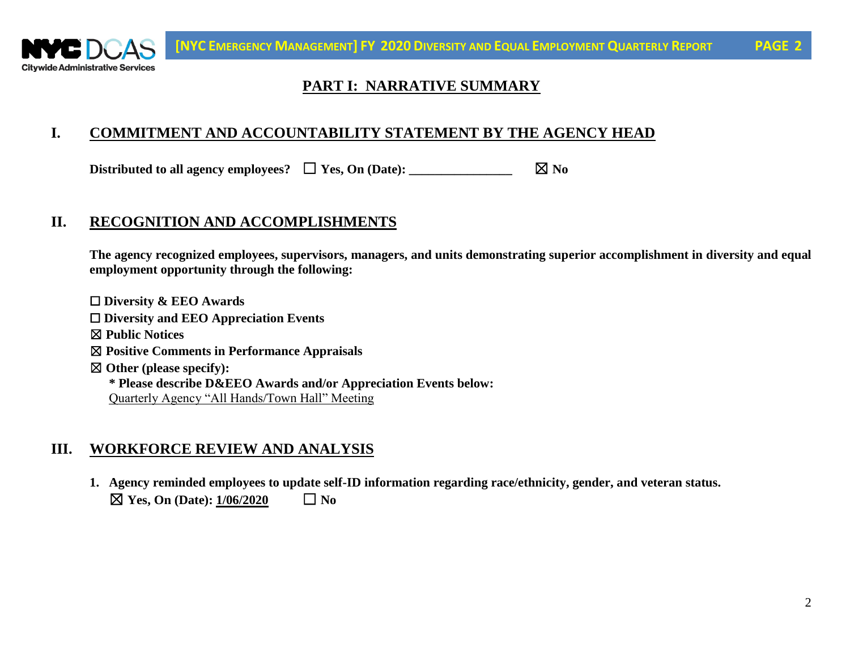

## **PART I: NARRATIVE SUMMARY**

#### **I. COMMITMENT AND ACCOUNTABILITY STATEMENT BY THE AGENCY HEAD**

Distributed to all agency employees?  $\Box$  **Yes, On (Date):** \_\_\_\_\_\_\_\_\_\_\_\_\_\_\_\_\_\_\_\_\_  $\boxtimes$  No

#### **II. RECOGNITION AND ACCOMPLISHMENTS**

**The agency recognized employees, supervisors, managers, and units demonstrating superior accomplishment in diversity and equal employment opportunity through the following:**

☐ **Diversity & EEO Awards** ☐ **Diversity and EEO Appreciation Events** ☒ **Public Notices** ☒ **Positive Comments in Performance Appraisals** ☒ **Other (please specify): \* Please describe D&EEO Awards and/or Appreciation Events below:** Quarterly Agency "All Hands/Town Hall" Meeting

#### **III. WORKFORCE REVIEW AND ANALYSIS**

**1. Agency reminded employees to update self-ID information regarding race/ethnicity, gender, and veteran status.**  $\boxtimes$  Yes, On (Date):  $1/06/2020$   $\Box$  No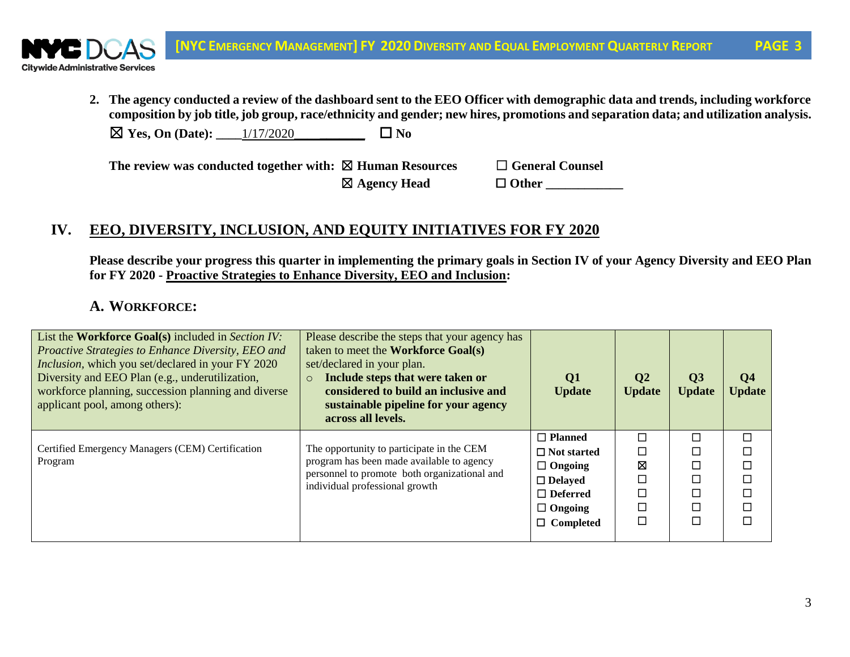

**2. The agency conducted a review of the dashboard sent to the EEO Officer with demographic data and trends, including workforce composition by job title, job group, race/ethnicity and gender; new hires, promotions and separation data; and utilization analysis.** 

 $\boxtimes$  **Yes, On (Date):**  $\qquad$  1/17/2020  $\qquad \Box$  **No** 

**The review was conducted together with:** ☒ **Human Resources** ☐ **General Counsel**

☒ **Agency Head** ☐ **Other \_\_\_\_\_\_\_\_\_\_\_\_**

## **IV. EEO, DIVERSITY, INCLUSION, AND EQUITY INITIATIVES FOR FY 2020**

**Please describe your progress this quarter in implementing the primary goals in Section IV of your Agency Diversity and EEO Plan for FY 2020 - Proactive Strategies to Enhance Diversity, EEO and Inclusion:**

#### **A. WORKFORCE:**

| List the <b>Workforce Goal(s)</b> included in Section IV:<br>Proactive Strategies to Enhance Diversity, EEO and<br><i>Inclusion</i> , which you set/declared in your FY 2020<br>Diversity and EEO Plan (e.g., underutilization,<br>workforce planning, succession planning and diverse<br>applicant pool, among others): | Please describe the steps that your agency has<br>taken to meet the Workforce Goal(s)<br>set/declared in your plan.<br>Include steps that were taken or<br>$\circ$<br>considered to build an inclusive and<br>sustainable pipeline for your agency<br>across all levels. | Q1<br><b>Update</b>                                                                                                               | Q <sub>2</sub><br><b>Update</b> | Q <sub>3</sub><br><b>Update</b> | Q <sub>4</sub><br><b>Update</b> |
|--------------------------------------------------------------------------------------------------------------------------------------------------------------------------------------------------------------------------------------------------------------------------------------------------------------------------|--------------------------------------------------------------------------------------------------------------------------------------------------------------------------------------------------------------------------------------------------------------------------|-----------------------------------------------------------------------------------------------------------------------------------|---------------------------------|---------------------------------|---------------------------------|
| Certified Emergency Managers (CEM) Certification<br>Program                                                                                                                                                                                                                                                              | The opportunity to participate in the CEM<br>program has been made available to agency<br>personnel to promote both organizational and<br>individual professional growth                                                                                                 | $\Box$ Planned<br>$\Box$ Not started<br>$\Box$ Ongoing<br>$\Box$ Delayed<br>$\Box$ Deferred<br>$\Box$ Ongoing<br>$\Box$ Completed | П<br>⊠                          | П                               |                                 |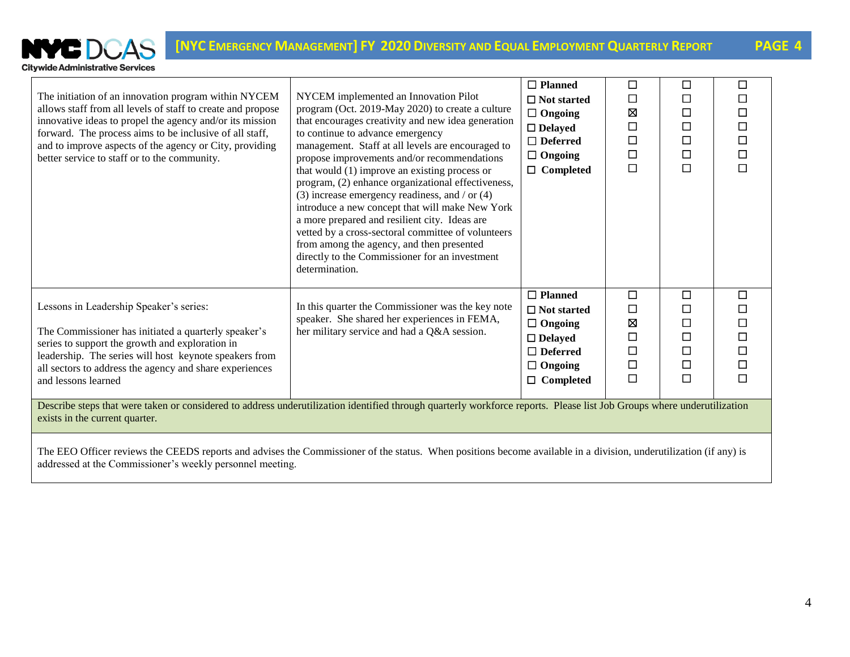

| The initiation of an innovation program within NYCEM<br>allows staff from all levels of staff to create and propose<br>innovative ideas to propel the agency and/or its mission<br>forward. The process aims to be inclusive of all staff,<br>and to improve aspects of the agency or City, providing<br>better service to staff or to the community.                                                                                                                                                      | NYCEM implemented an Innovation Pilot<br>program (Oct. 2019-May 2020) to create a culture<br>that encourages creativity and new idea generation<br>to continue to advance emergency<br>management. Staff at all levels are encouraged to<br>propose improvements and/or recommendations<br>that would (1) improve an existing process or<br>program, (2) enhance organizational effectiveness,<br>$(3)$ increase emergency readiness, and / or $(4)$<br>introduce a new concept that will make New York<br>a more prepared and resilient city. Ideas are<br>vetted by a cross-sectoral committee of volunteers<br>from among the agency, and then presented<br>directly to the Commissioner for an investment<br>determination. | $\Box$ Planned<br>$\Box$ Not started<br>$\Box$ Ongoing<br>$\Box$ Delayed<br>$\Box$ Deferred<br>$\Box$ Ongoing<br>$\Box$ Completed | □<br>$\Box$<br>図<br>$\Box$<br>$\Box$<br>$\Box$<br>$\Box$      | □<br>П<br>□<br>$\Box$<br>$\Box$<br>$\Box$<br>$\Box$ | $\Box$<br>П<br>$\Box$<br>П<br>$\Box$<br>$\Box$ |  |  |
|------------------------------------------------------------------------------------------------------------------------------------------------------------------------------------------------------------------------------------------------------------------------------------------------------------------------------------------------------------------------------------------------------------------------------------------------------------------------------------------------------------|---------------------------------------------------------------------------------------------------------------------------------------------------------------------------------------------------------------------------------------------------------------------------------------------------------------------------------------------------------------------------------------------------------------------------------------------------------------------------------------------------------------------------------------------------------------------------------------------------------------------------------------------------------------------------------------------------------------------------------|-----------------------------------------------------------------------------------------------------------------------------------|---------------------------------------------------------------|-----------------------------------------------------|------------------------------------------------|--|--|
| Lessons in Leadership Speaker's series:<br>The Commissioner has initiated a quarterly speaker's<br>series to support the growth and exploration in<br>leadership. The series will host keynote speakers from<br>all sectors to address the agency and share experiences<br>and lessons learned<br>Describe steps that were taken or considered to address underutilization identified through quarterly workforce reports. Please list Job Groups where underutilization<br>exists in the current quarter. | In this quarter the Commissioner was the key note<br>speaker. She shared her experiences in FEMA,<br>her military service and had a Q&A session.                                                                                                                                                                                                                                                                                                                                                                                                                                                                                                                                                                                | $\Box$ Planned<br>$\Box$ Not started<br>$\Box$ Ongoing<br>$\Box$ Delayed<br>$\Box$ Deferred<br>$\Box$ Ongoing<br>$\Box$ Completed | $\Box$<br>$\Box$<br>図<br>$\Box$<br>$\Box$<br>$\Box$<br>$\Box$ | □<br>□<br>□<br>$\Box$<br>□<br>□<br>□                | $\Box$<br>П<br>П<br>$\Box$<br>□<br>П           |  |  |
| The EEO Officer reviews the CEEDS reports and advises the Commissioner of the status. When positions become available in a division, underutilization (if any) is                                                                                                                                                                                                                                                                                                                                          |                                                                                                                                                                                                                                                                                                                                                                                                                                                                                                                                                                                                                                                                                                                                 |                                                                                                                                   |                                                               |                                                     |                                                |  |  |

addressed at the Commissioner's weekly personnel meeting.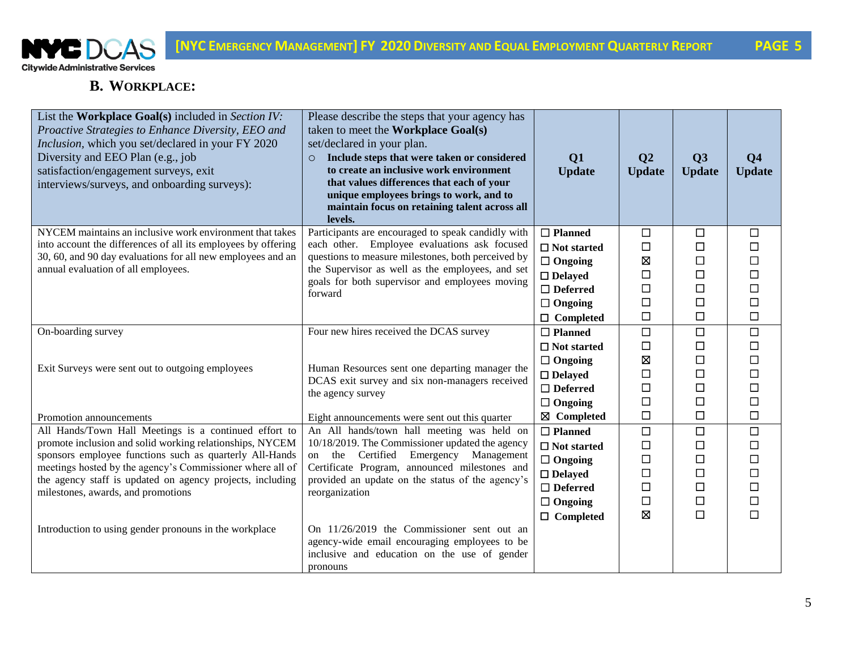

#### **B. WORKPLACE:**

| List the Workplace Goal(s) included in Section IV:<br>Proactive Strategies to Enhance Diversity, EEO and<br>Inclusion, which you set/declared in your FY 2020<br>Diversity and EEO Plan (e.g., job<br>satisfaction/engagement surveys, exit<br>interviews/surveys, and onboarding surveys): | Please describe the steps that your agency has<br>taken to meet the Workplace Goal(s)<br>set/declared in your plan.<br>Include steps that were taken or considered<br>$\circ$<br>to create an inclusive work environment<br>that values differences that each of your<br>unique employees brings to work, and to<br>maintain focus on retaining talent across all<br>levels. | Q1<br><b>Update</b> | Q <sub>2</sub><br><b>Update</b> | Q3<br><b>Update</b> | Q <sub>4</sub><br><b>Update</b> |
|---------------------------------------------------------------------------------------------------------------------------------------------------------------------------------------------------------------------------------------------------------------------------------------------|------------------------------------------------------------------------------------------------------------------------------------------------------------------------------------------------------------------------------------------------------------------------------------------------------------------------------------------------------------------------------|---------------------|---------------------------------|---------------------|---------------------------------|
| NYCEM maintains an inclusive work environment that takes                                                                                                                                                                                                                                    | Participants are encouraged to speak candidly with                                                                                                                                                                                                                                                                                                                           | $\Box$ Planned      | $\Box$                          | $\Box$              | $\Box$                          |
| into account the differences of all its employees by offering                                                                                                                                                                                                                               | each other. Employee evaluations ask focused                                                                                                                                                                                                                                                                                                                                 | $\Box$ Not started  | $\Box$                          | $\Box$              | □                               |
| 30, 60, and 90 day evaluations for all new employees and an                                                                                                                                                                                                                                 | questions to measure milestones, both perceived by                                                                                                                                                                                                                                                                                                                           | $\Box$ Ongoing      | 区                               | $\Box$              | $\Box$                          |
| annual evaluation of all employees.                                                                                                                                                                                                                                                         | the Supervisor as well as the employees, and set<br>goals for both supervisor and employees moving                                                                                                                                                                                                                                                                           | $\Box$ Delayed      | $\Box$                          | $\Box$              | $\Box$                          |
|                                                                                                                                                                                                                                                                                             | forward                                                                                                                                                                                                                                                                                                                                                                      | $\Box$ Deferred     | $\Box$                          | $\Box$              | $\Box$                          |
|                                                                                                                                                                                                                                                                                             |                                                                                                                                                                                                                                                                                                                                                                              | $\Box$ Ongoing      | $\Box$                          | $\Box$              | $\Box$                          |
|                                                                                                                                                                                                                                                                                             |                                                                                                                                                                                                                                                                                                                                                                              | $\Box$ Completed    | $\Box$                          | $\Box$              | □                               |
| On-boarding survey                                                                                                                                                                                                                                                                          | Four new hires received the DCAS survey                                                                                                                                                                                                                                                                                                                                      | $\Box$ Planned      | $\Box$                          | $\Box$              | $\Box$                          |
|                                                                                                                                                                                                                                                                                             |                                                                                                                                                                                                                                                                                                                                                                              | $\Box$ Not started  | $\Box$                          | $\Box$              | □                               |
|                                                                                                                                                                                                                                                                                             | Human Resources sent one departing manager the                                                                                                                                                                                                                                                                                                                               | $\Box$ Ongoing      | 区                               | $\Box$              | $\Box$                          |
| Exit Surveys were sent out to outgoing employees                                                                                                                                                                                                                                            | DCAS exit survey and six non-managers received                                                                                                                                                                                                                                                                                                                               | $\square$ Delayed   | $\Box$                          | $\Box$              | $\Box$                          |
|                                                                                                                                                                                                                                                                                             | the agency survey                                                                                                                                                                                                                                                                                                                                                            | $\Box$<br>Deferred  | $\Box$                          | $\Box$              | $\Box$                          |
|                                                                                                                                                                                                                                                                                             |                                                                                                                                                                                                                                                                                                                                                                              | $\Box$ Ongoing      | $\Box$                          | □                   | $\Box$                          |
| Promotion announcements                                                                                                                                                                                                                                                                     | Eight announcements were sent out this quarter                                                                                                                                                                                                                                                                                                                               | ⊠ Completed         | $\Box$                          | $\Box$              | □                               |
| All Hands/Town Hall Meetings is a continued effort to                                                                                                                                                                                                                                       | An All hands/town hall meeting was held on                                                                                                                                                                                                                                                                                                                                   | $\Box$ Planned      | $\Box$                          | $\Box$              | $\Box$                          |
| promote inclusion and solid working relationships, NYCEM                                                                                                                                                                                                                                    | 10/18/2019. The Commissioner updated the agency                                                                                                                                                                                                                                                                                                                              | $\Box$ Not started  | $\Box$                          | $\Box$              | $\Box$                          |
| sponsors employee functions such as quarterly All-Hands<br>meetings hosted by the agency's Commissioner where all of                                                                                                                                                                        | the Certified<br>Emergency Management<br>on<br>Certificate Program, announced milestones and                                                                                                                                                                                                                                                                                 | $\Box$ Ongoing      | $\Box$                          | $\Box$              | □                               |
| the agency staff is updated on agency projects, including                                                                                                                                                                                                                                   | provided an update on the status of the agency's                                                                                                                                                                                                                                                                                                                             | $\Box$ Delayed      | $\Box$                          | $\Box$              | $\Box$                          |
| milestones, awards, and promotions                                                                                                                                                                                                                                                          | reorganization                                                                                                                                                                                                                                                                                                                                                               | $\Box$ Deferred     | $\Box$                          | $\Box$              | □                               |
|                                                                                                                                                                                                                                                                                             |                                                                                                                                                                                                                                                                                                                                                                              | $\Box$ Ongoing      | $\Box$                          | $\Box$              | $\Box$                          |
|                                                                                                                                                                                                                                                                                             |                                                                                                                                                                                                                                                                                                                                                                              | $\Box$ Completed    | Ø                               | $\Box$              | $\Box$                          |
| Introduction to using gender pronouns in the workplace                                                                                                                                                                                                                                      | On $11/26/2019$ the Commissioner sent out an                                                                                                                                                                                                                                                                                                                                 |                     |                                 |                     |                                 |
|                                                                                                                                                                                                                                                                                             | agency-wide email encouraging employees to be<br>inclusive and education on the use of gender                                                                                                                                                                                                                                                                                |                     |                                 |                     |                                 |
|                                                                                                                                                                                                                                                                                             | pronouns                                                                                                                                                                                                                                                                                                                                                                     |                     |                                 |                     |                                 |
|                                                                                                                                                                                                                                                                                             |                                                                                                                                                                                                                                                                                                                                                                              |                     |                                 |                     |                                 |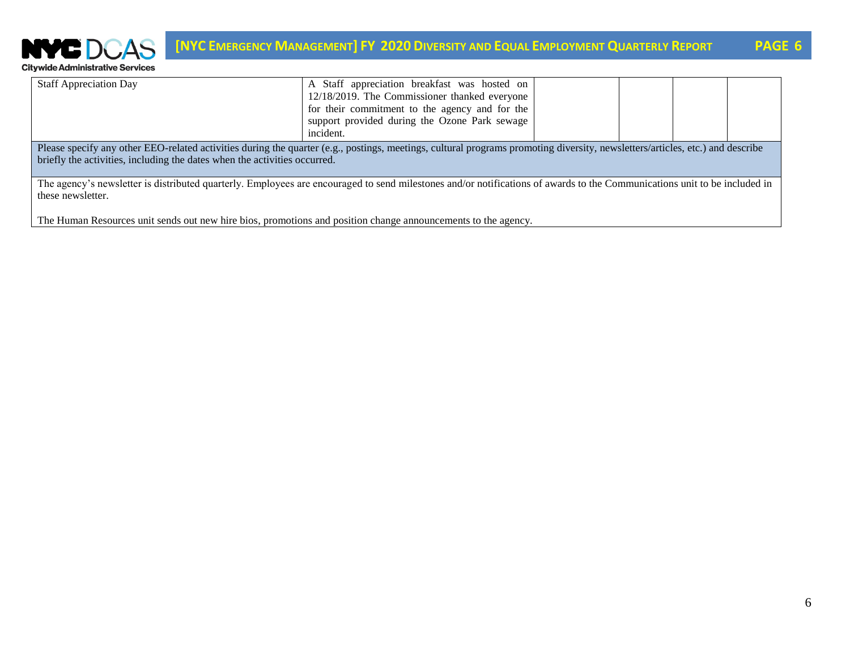

| <b>Staff Appreciation Day</b>                                                                                                                                                 | A Staff appreciation breakfast was hosted on   |  |  |  |  |  |
|-------------------------------------------------------------------------------------------------------------------------------------------------------------------------------|------------------------------------------------|--|--|--|--|--|
|                                                                                                                                                                               | 12/18/2019. The Commissioner thanked everyone  |  |  |  |  |  |
|                                                                                                                                                                               | for their commitment to the agency and for the |  |  |  |  |  |
|                                                                                                                                                                               | support provided during the Ozone Park sewage  |  |  |  |  |  |
|                                                                                                                                                                               | incident.                                      |  |  |  |  |  |
| Please specify any other EEO-related activities during the quarter (e.g., postings, meetings, cultural programs promoting diversity, newsletters/articles, etc.) and describe |                                                |  |  |  |  |  |
| briefly the activities, including the dates when the activities occurred.                                                                                                     |                                                |  |  |  |  |  |
|                                                                                                                                                                               |                                                |  |  |  |  |  |
| The agency's newsletter is distributed quarterly. Employees are encouraged to send milestones and/or notifications of awards to the Communications unit to be included in     |                                                |  |  |  |  |  |
| these newsletter.                                                                                                                                                             |                                                |  |  |  |  |  |

The Human Resources unit sends out new hire bios, promotions and position change announcements to the agency.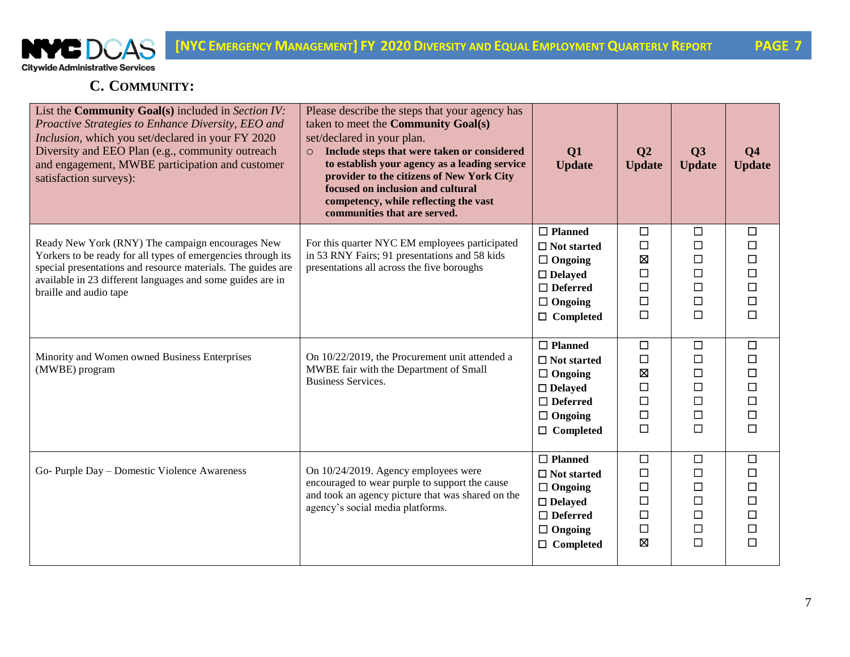

### **C. COMMUNITY:**

| List the <b>Community Goal(s)</b> included in Section IV:<br>Proactive Strategies to Enhance Diversity, EEO and<br>Inclusion, which you set/declared in your FY 2020<br>Diversity and EEO Plan (e.g., community outreach<br>and engagement, MWBE participation and customer<br>satisfaction surveys): | Please describe the steps that your agency has<br>taken to meet the <b>Community Goal(s)</b><br>set/declared in your plan.<br>Include steps that were taken or considered<br>$\circ$<br>to establish your agency as a leading service<br>provider to the citizens of New York City<br>focused on inclusion and cultural<br>competency, while reflecting the vast<br>communities that are served. | Q1<br><b>Update</b>                                                                                                               | Q <sub>2</sub><br><b>Update</b>                          | Q3<br><b>Update</b>                                           | Q <sub>4</sub><br><b>Update</b>           |
|-------------------------------------------------------------------------------------------------------------------------------------------------------------------------------------------------------------------------------------------------------------------------------------------------------|--------------------------------------------------------------------------------------------------------------------------------------------------------------------------------------------------------------------------------------------------------------------------------------------------------------------------------------------------------------------------------------------------|-----------------------------------------------------------------------------------------------------------------------------------|----------------------------------------------------------|---------------------------------------------------------------|-------------------------------------------|
| Ready New York (RNY) The campaign encourages New<br>Yorkers to be ready for all types of emergencies through its<br>special presentations and resource materials. The guides are<br>available in 23 different languages and some guides are in<br>braille and audio tape                              | For this quarter NYC EM employees participated<br>in 53 RNY Fairs; 91 presentations and 58 kids<br>presentations all across the five boroughs                                                                                                                                                                                                                                                    | $\Box$ Planned<br>$\Box$ Not started<br>$\Box$ Ongoing<br>$\Box$ Delayed<br>$\Box$ Deferred<br>$\Box$ Ongoing<br>$\Box$ Completed | $\Box$<br>$\Box$<br>Ø<br>$\Box$<br>□<br>$\Box$<br>$\Box$ | $\Box$<br>$\Box$<br>□<br>$\Box$<br>□<br>$\Box$<br>$\Box$      | □<br>□<br>$\Box$<br>□<br>□<br>$\Box$<br>□ |
| Minority and Women owned Business Enterprises<br>(MWBE) program                                                                                                                                                                                                                                       | On 10/22/2019, the Procurement unit attended a<br>MWBE fair with the Department of Small<br><b>Business Services.</b>                                                                                                                                                                                                                                                                            | $\Box$ Planned<br>$\Box$ Not started<br>$\Box$ Ongoing<br>$\Box$ Delayed<br>$\Box$ Deferred<br>$\Box$ Ongoing<br>$\Box$ Completed | $\Box$<br>$\Box$<br>Ø<br>$\Box$<br>□<br>$\Box$<br>$\Box$ | $\Box$<br>□<br>□<br>$\Box$<br>$\Box$<br>$\Box$<br>$\Box$      | $\Box$<br>□<br>П<br>$\Box$<br>□<br>□<br>□ |
| Go- Purple Day - Domestic Violence Awareness                                                                                                                                                                                                                                                          | On 10/24/2019. Agency employees were<br>encouraged to wear purple to support the cause<br>and took an agency picture that was shared on the<br>agency's social media platforms.                                                                                                                                                                                                                  | $\Box$ Planned<br>$\Box$ Not started<br>$\Box$ Ongoing<br>$\Box$ Delayed<br>$\Box$ Deferred<br>$\Box$ Ongoing<br>$\Box$ Completed | $\Box$<br>$\Box$<br>□<br>□<br>$\Box$<br>$\Box$<br>区      | $\Box$<br>□<br>$\Box$<br>$\Box$<br>$\Box$<br>$\Box$<br>$\Box$ | □<br>□<br>$\Box$<br>□<br>П<br>□<br>□      |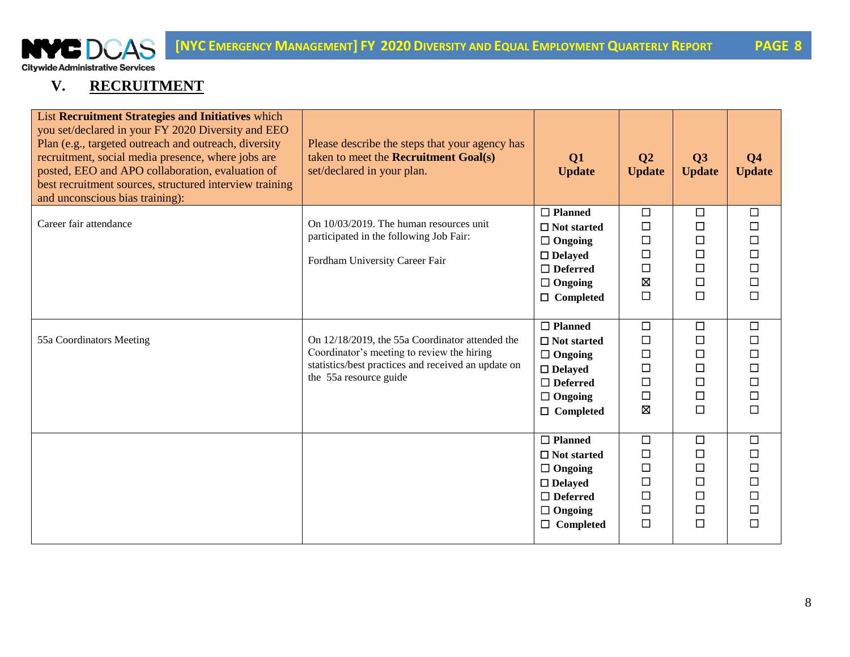

## **V. RECRUITMENT**

| List Recruitment Strategies and Initiatives which<br>you set/declared in your FY 2020 Diversity and EEO<br>Plan (e.g., targeted outreach and outreach, diversity<br>recruitment, social media presence, where jobs are<br>posted, EEO and APO collaboration, evaluation of<br>best recruitment sources, structured interview training<br>and unconscious bias training): | Please describe the steps that your agency has<br>taken to meet the <b>Recruitment Goal(s)</b><br>set/declared in your plan.                                                   | Q1<br><b>Update</b>                                                                                                               | Q <sub>2</sub><br><b>Update</b>                                    | Q3<br><b>Update</b>                                                | Q <sub>4</sub><br><b>Update</b>                     |
|--------------------------------------------------------------------------------------------------------------------------------------------------------------------------------------------------------------------------------------------------------------------------------------------------------------------------------------------------------------------------|--------------------------------------------------------------------------------------------------------------------------------------------------------------------------------|-----------------------------------------------------------------------------------------------------------------------------------|--------------------------------------------------------------------|--------------------------------------------------------------------|-----------------------------------------------------|
| Career fair attendance                                                                                                                                                                                                                                                                                                                                                   | On 10/03/2019. The human resources unit<br>participated in the following Job Fair:<br>Fordham University Career Fair                                                           | $\Box$ Planned<br>$\Box$ Not started<br>$\Box$ Ongoing<br>$\Box$ Delayed<br>$\Box$ Deferred<br>$\Box$ Ongoing<br>$\Box$ Completed | $\Box$<br>$\Box$<br>$\Box$<br>□<br>$\Box$<br>$\boxtimes$<br>$\Box$ | $\Box$<br>$\Box$<br>$\Box$<br>$\Box$<br>$\Box$<br>$\Box$<br>$\Box$ | $\Box$<br>□<br>□<br>□<br>$\Box$<br>$\Box$<br>$\Box$ |
| 55a Coordinators Meeting                                                                                                                                                                                                                                                                                                                                                 | On 12/18/2019, the 55a Coordinator attended the<br>Coordinator's meeting to review the hiring<br>statistics/best practices and received an update on<br>the 55a resource guide | $\Box$ Planned<br>$\Box$ Not started<br>$\Box$ Ongoing<br>$\Box$ Delayed<br>$\Box$ Deferred<br>$\Box$ Ongoing<br>$\Box$ Completed | □<br>$\Box$<br>$\Box$<br>$\Box$<br>□<br>$\Box$<br>図                | $\Box$<br>$\Box$<br>$\Box$<br>$\Box$<br>$\Box$<br>$\Box$<br>$\Box$ | $\Box$<br>□<br>□<br>□<br>□<br>□<br>□                |
|                                                                                                                                                                                                                                                                                                                                                                          |                                                                                                                                                                                | $\Box$ Planned<br>$\Box$ Not started<br>$\Box$ Ongoing<br>$\Box$ Delayed<br>$\Box$ Deferred<br>$\Box$ Ongoing<br>Completed<br>□   | $\Box$<br>$\Box$<br>$\Box$<br>$\Box$<br>$\Box$<br>□<br>$\Box$      | $\Box$<br>$\Box$<br>$\Box$<br>$\Box$<br>$\Box$<br>$\Box$<br>$\Box$ | $\Box$<br>□<br>$\Box$<br>□<br>□<br>□<br>□           |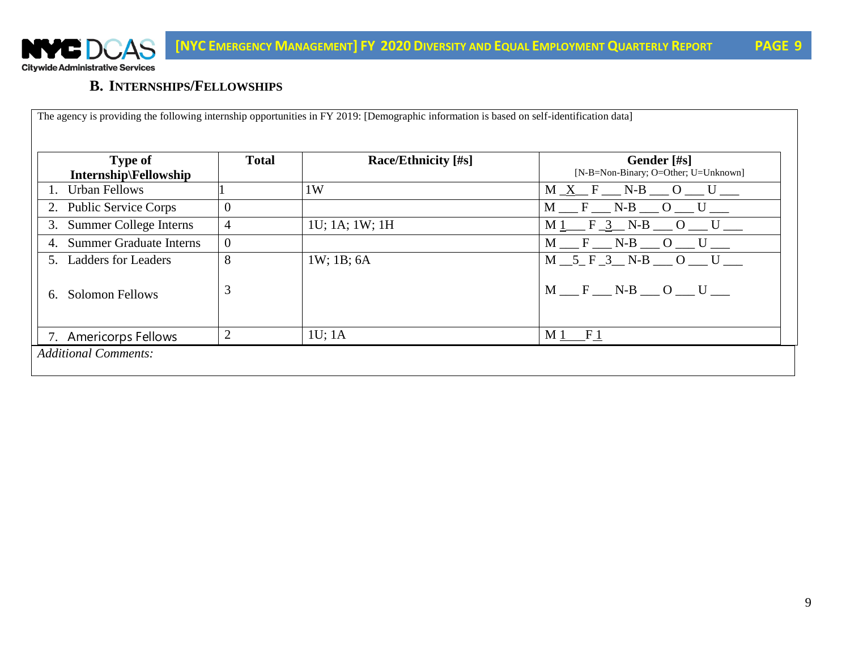

**B. INTERNSHIPS/FELLOWSHIPS**

| <b>Type of</b><br>Internship\Fellowship | <b>Total</b>   | <b>Race/Ethnicity</b> [#s] | Gender [#s]<br>[N-B=Non-Binary; O=Other; U=Unknown] |
|-----------------------------------------|----------------|----------------------------|-----------------------------------------------------|
| <b>Urban Fellows</b>                    |                | 1W                         | $M_X F_N - N-B$ $O_U$                               |
| <b>Public Service Corps</b><br>2.       | $\overline{0}$ |                            | $M \t F$ N-B $O$ U                                  |
| Summer College Interns<br>3.            | 4              | 1U; 1A; 1W; 1H             | $M1 - F_3 - N-B = 0$ U                              |
| <b>Summer Graduate Interns</b><br>4.    | $\overline{0}$ |                            | $M \t F$ N-B $O$ U                                  |
| 5. Ladders for Leaders                  | 8              | $1W$ ; 1B; 6A              | M 5 F 3 N-B O U                                     |
| <b>Solomon Fellows</b><br>6.            | 3              |                            | $M = F = N-B = O = U$                               |
| 7. Americorps Fellows                   | $\overline{2}$ | $1U$ ; 1A                  | $M1$ F <sub>1</sub>                                 |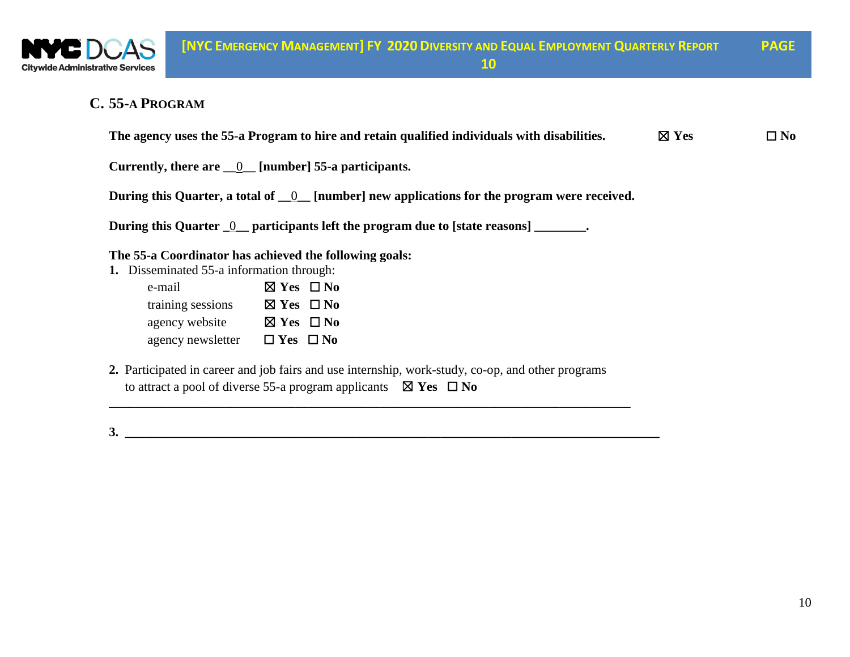

### **C. 55-A PROGRAM**

|                                             | The agency uses the 55-a Program to hire and retain qualified individuals with disabilities.                                                                                        | $\boxtimes$ Yes | $\square$ No |  |  |  |
|---------------------------------------------|-------------------------------------------------------------------------------------------------------------------------------------------------------------------------------------|-----------------|--------------|--|--|--|
|                                             | Currently, there are $\underline{\hspace{1cm}0}$ [number] 55-a participants.                                                                                                        |                 |              |  |  |  |
|                                             | During this Quarter, a total of $\_\_0$ [number] new applications for the program were received.                                                                                    |                 |              |  |  |  |
|                                             | During this Quarter <u>0</u> participants left the program due to [state reasons] ________.                                                                                         |                 |              |  |  |  |
|                                             | The 55-a Coordinator has achieved the following goals:                                                                                                                              |                 |              |  |  |  |
| Disseminated 55-a information through:      |                                                                                                                                                                                     |                 |              |  |  |  |
| e-mail                                      | $\boxtimes$ Yes $\Box$ No                                                                                                                                                           |                 |              |  |  |  |
| training sessions $\boxtimes$ Yes $\Box$ No |                                                                                                                                                                                     |                 |              |  |  |  |
| agency website $\boxtimes$ Yes $\Box$ No    |                                                                                                                                                                                     |                 |              |  |  |  |
| agency newsletter                           | $\Box$ Yes $\Box$ No                                                                                                                                                                |                 |              |  |  |  |
|                                             | 2. Participated in career and job fairs and use internship, work-study, co-op, and other programs<br>to attract a pool of diverse 55-a program applicants $\boxtimes$ Yes $\Box$ No |                 |              |  |  |  |

**3. \_\_\_\_\_\_\_\_\_\_\_\_\_\_\_\_\_\_\_\_\_\_\_\_\_\_\_\_\_\_\_\_\_\_\_\_\_\_\_\_\_\_\_\_\_\_\_\_\_\_\_\_\_\_\_\_\_\_\_\_\_\_\_\_\_\_\_\_\_\_\_\_\_\_\_\_\_\_\_\_\_\_\_**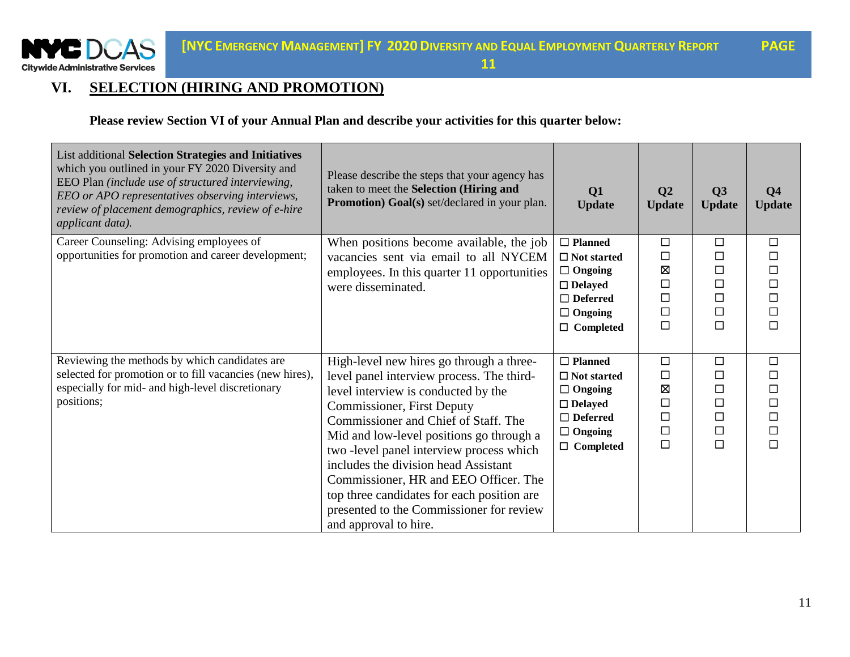

# **VI. SELECTION (HIRING AND PROMOTION)**

**Please review Section VI of your Annual Plan and describe your activities for this quarter below:**

| List additional Selection Strategies and Initiatives<br>which you outlined in your FY 2020 Diversity and<br>EEO Plan (include use of structured interviewing,<br>EEO or APO representatives observing interviews,<br>review of placement demographics, review of e-hire<br>applicant data). | Please describe the steps that your agency has<br>taken to meet the Selection (Hiring and<br>Promotion) Goal(s) set/declared in your plan.                                                                                                                                                                                                                                                                                                                                                            | Q1<br><b>Update</b>                                                                                                               | Q <sub>2</sub><br><b>Update</b>                               | Q3<br><b>Update</b>                                           | Q <sub>4</sub><br><b>Update</b>                                    |
|---------------------------------------------------------------------------------------------------------------------------------------------------------------------------------------------------------------------------------------------------------------------------------------------|-------------------------------------------------------------------------------------------------------------------------------------------------------------------------------------------------------------------------------------------------------------------------------------------------------------------------------------------------------------------------------------------------------------------------------------------------------------------------------------------------------|-----------------------------------------------------------------------------------------------------------------------------------|---------------------------------------------------------------|---------------------------------------------------------------|--------------------------------------------------------------------|
| Career Counseling: Advising employees of<br>opportunities for promotion and career development;                                                                                                                                                                                             | When positions become available, the job<br>vacancies sent via email to all NYCEM<br>employees. In this quarter 11 opportunities<br>were disseminated.                                                                                                                                                                                                                                                                                                                                                | $\Box$ Planned<br>$\Box$ Not started<br>$\Box$ Ongoing<br>$\Box$ Delayed<br>$\Box$ Deferred<br>$\Box$ Ongoing<br>$\Box$ Completed | $\Box$<br>$\Box$<br>冈<br>$\Box$<br>$\Box$<br>$\Box$<br>$\Box$ | $\Box$<br>□<br>$\Box$<br>$\Box$<br>$\Box$<br>□<br>$\Box$      | $\Box$<br>$\Box$<br>$\Box$<br>$\Box$<br>$\Box$<br>$\Box$<br>$\Box$ |
| Reviewing the methods by which candidates are<br>selected for promotion or to fill vacancies (new hires),<br>especially for mid- and high-level discretionary<br>positions;                                                                                                                 | High-level new hires go through a three-<br>level panel interview process. The third-<br>level interview is conducted by the<br><b>Commissioner, First Deputy</b><br>Commissioner and Chief of Staff. The<br>Mid and low-level positions go through a<br>two -level panel interview process which<br>includes the division head Assistant<br>Commissioner, HR and EEO Officer. The<br>top three candidates for each position are<br>presented to the Commissioner for review<br>and approval to hire. | $\Box$ Planned<br>$\Box$ Not started<br>$\Box$ Ongoing<br>$\Box$ Delayed<br>$\Box$ Deferred<br>$\Box$ Ongoing<br>$\Box$ Completed | $\Box$<br>□<br>Ø<br>$\Box$<br>$\Box$<br>$\Box$<br>$\Box$      | $\Box$<br>$\Box$<br>□<br>$\Box$<br>$\Box$<br>$\Box$<br>$\Box$ | $\Box$<br>$\Box$<br>$\Box$<br>$\Box$<br>$\Box$<br>$\Box$<br>$\Box$ |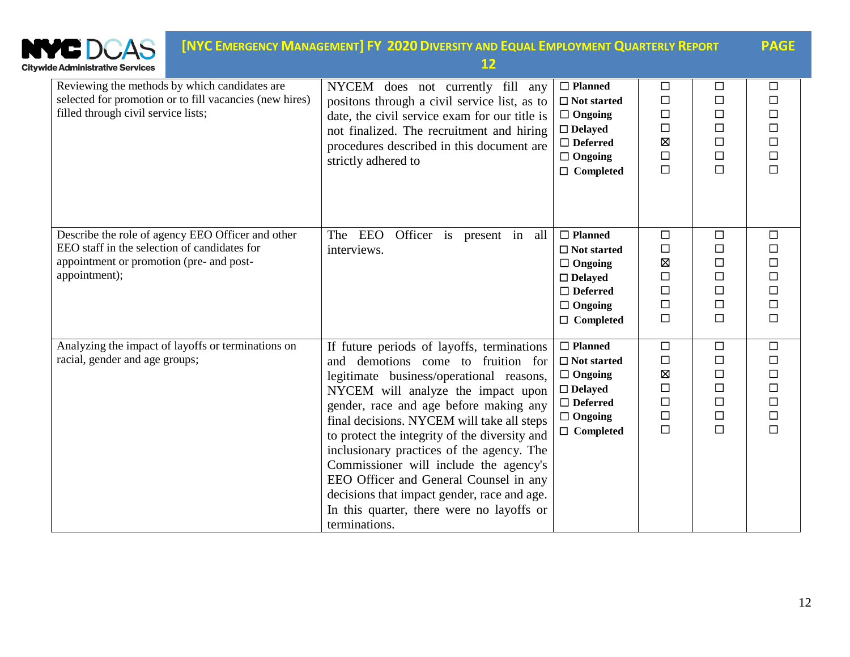| <b>Citywide Administrative Services</b>                                                                                                                        | [NYC EMERGENCY MANAGEMENT] FY 2020 DIVERSITY AND EQUAL EMPLOYMENT QUARTERLY REPORT<br>12                                                                                                                                                                                                                                                                                                                                                                                                                                                                  |                                                                                                                                      |                                                               |                                                                    | <b>PAGE</b>                                                        |
|----------------------------------------------------------------------------------------------------------------------------------------------------------------|-----------------------------------------------------------------------------------------------------------------------------------------------------------------------------------------------------------------------------------------------------------------------------------------------------------------------------------------------------------------------------------------------------------------------------------------------------------------------------------------------------------------------------------------------------------|--------------------------------------------------------------------------------------------------------------------------------------|---------------------------------------------------------------|--------------------------------------------------------------------|--------------------------------------------------------------------|
| Reviewing the methods by which candidates are<br>selected for promotion or to fill vacancies (new hires)<br>filled through civil service lists;                | NYCEM does not currently fill any<br>positons through a civil service list, as to<br>date, the civil service exam for our title is<br>not finalized. The recruitment and hiring<br>procedures described in this document are<br>strictly adhered to                                                                                                                                                                                                                                                                                                       | $\Box$ Planned<br>$\Box$ Not started<br>$\Box$ Ongoing<br>$\Box$ Delayed<br>$\Box$ Deferred<br>$\Box$ Ongoing<br>$\Box$ Completed    | □<br>$\Box$<br>$\Box$<br>$\Box$<br>区<br>$\Box$<br>$\Box$      | $\Box$<br>$\Box$<br>$\Box$<br>$\Box$<br>$\Box$<br>$\Box$<br>$\Box$ | □<br>$\Box$<br>$\Box$<br>$\Box$<br>$\Box$<br>$\Box$<br>$\Box$      |
| Describe the role of agency EEO Officer and other<br>EEO staff in the selection of candidates for<br>appointment or promotion (pre- and post-<br>appointment); | The EEO<br>Officer is present in all<br>interviews.                                                                                                                                                                                                                                                                                                                                                                                                                                                                                                       | $\Box$ Planned<br>$\Box$ Not started<br>$\Box$ Ongoing<br>$\Box$ Delayed<br>$\Box$ Deferred<br>$\Box$ Ongoing<br>$\Box$ Completed    | $\Box$<br>$\Box$<br>⊠<br>$\Box$<br>$\Box$<br>$\Box$<br>$\Box$ | $\Box$<br>$\Box$<br>$\Box$<br>$\Box$<br>$\Box$<br>$\Box$<br>$\Box$ | $\Box$<br>$\Box$<br>$\Box$<br>$\Box$<br>$\Box$<br>$\Box$<br>$\Box$ |
| Analyzing the impact of layoffs or terminations on<br>racial, gender and age groups;                                                                           | If future periods of layoffs, terminations<br>and demotions come to fruition for<br>legitimate business/operational reasons,<br>NYCEM will analyze the impact upon<br>gender, race and age before making any<br>final decisions. NYCEM will take all steps<br>to protect the integrity of the diversity and<br>inclusionary practices of the agency. The<br>Commissioner will include the agency's<br>EEO Officer and General Counsel in any<br>decisions that impact gender, race and age.<br>In this quarter, there were no layoffs or<br>terminations. | $\Box$ Planned<br>$\Box$<br>Not started<br>$\Box$ Ongoing<br>$\Box$ Delayed<br>$\Box$ Deferred<br>$\Box$ Ongoing<br>$\Box$ Completed | $\Box$<br>$\Box$<br>区<br>$\Box$<br>$\Box$<br>$\Box$<br>$\Box$ | $\Box$<br>$\Box$<br>$\Box$<br>$\Box$<br>$\Box$<br>$\Box$<br>$\Box$ | $\Box$<br>$\Box$<br>$\Box$<br>$\Box$<br>$\Box$<br>$\Box$<br>$\Box$ |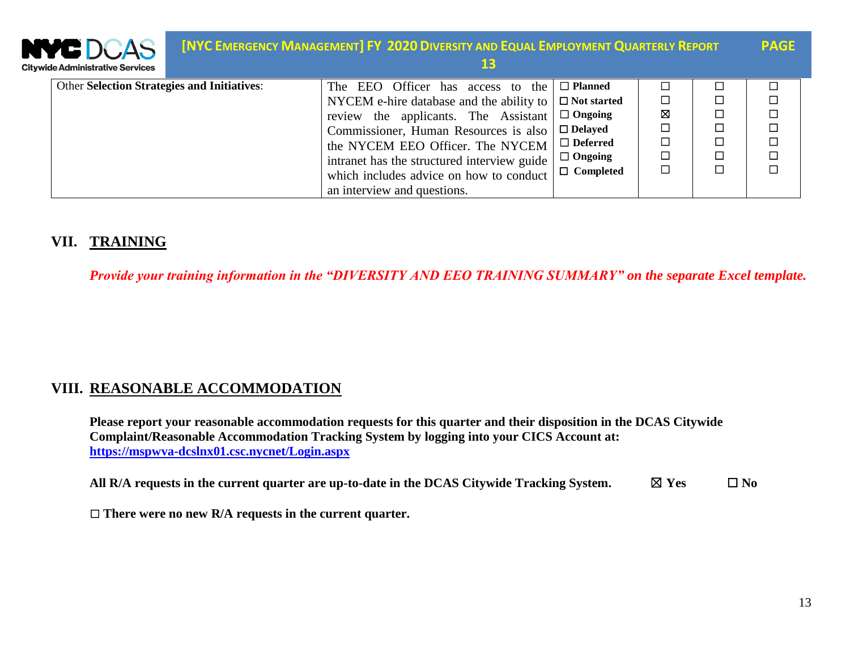| <b>WE DCAS</b><br>tywide Administrative Services   | <b>[NYC EMERGENCY MANAGEMENT] FY 2020 DIVERSITY AND EQUAL EMPLOYMENT QUARTERLY REPORT</b><br>13 |                    |        |        | <b>PAGE</b> |
|----------------------------------------------------|-------------------------------------------------------------------------------------------------|--------------------|--------|--------|-------------|
| <b>Other Selection Strategies and Initiatives:</b> | The EEO Officer has access to the                                                               | $\Box$ Planned     |        |        |             |
|                                                    | NYCEM e-hire database and the ability to                                                        | $\Box$ Not started | $\Box$ |        | □           |
|                                                    | review the applicants. The Assistant                                                            | $\Box$ Ongoing     | Ŋ      | Г      | $\Box$      |
|                                                    | Commissioner, Human Resources is also                                                           | $\Box$ Delayed     | $\Box$ | □      | $\Box$      |
|                                                    | the NYCEM EEO Officer. The NYCEM                                                                | $\Box$ Deferred    | $\Box$ | $\Box$ | $\Box$      |
|                                                    | intranet has the structured interview guide                                                     | $\Box$ Ongoing     | $\Box$ | $\Box$ | $\Box$      |
|                                                    | which includes advice on how to conduct                                                         | $\Box$ Completed   |        | Г      | □           |
|                                                    | an interview and questions.                                                                     |                    |        |        |             |

### **VII. TRAINING**

*Provide your training information in the "DIVERSITY AND EEO TRAINING SUMMARY" on the separate Excel template.*

#### **VIII. REASONABLE ACCOMMODATION**

**Please report your reasonable accommodation requests for this quarter and their disposition in the DCAS Citywide Complaint/Reasonable Accommodation Tracking System by logging into your CICS Account at: <https://mspwva-dcslnx01.csc.nycnet/Login.aspx>**

**All R/A** requests in the current quarter are up-to-date in the DCAS Citywide Tracking System.  $\Box$  Yes  $\Box$  No

☐ **There were no new R/A requests in the current quarter.**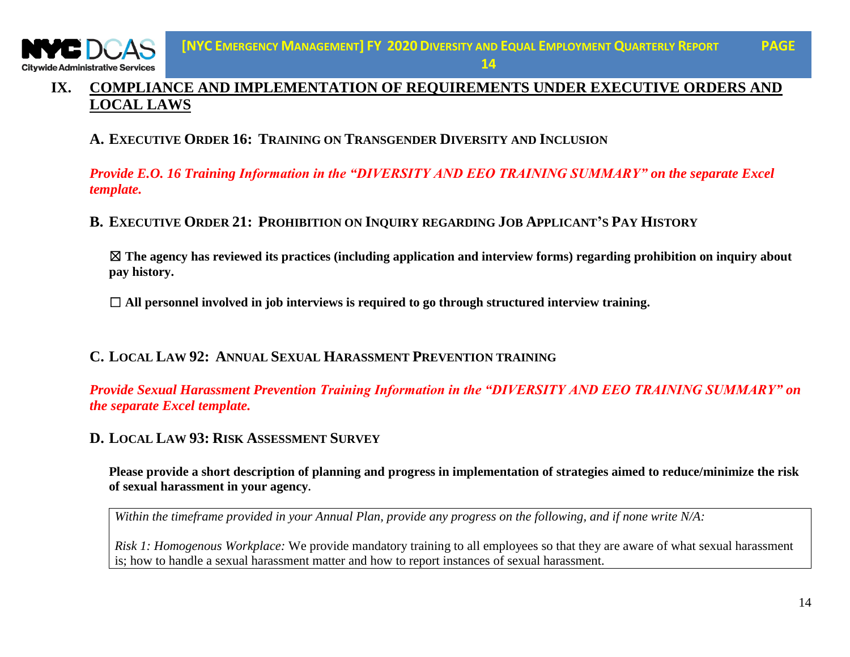### **IX. COMPLIANCE AND IMPLEMENTATION OF REQUIREMENTS UNDER EXECUTIVE ORDERS AND LOCAL LAWS**

### **A. EXECUTIVE ORDER 16: TRAINING ON TRANSGENDER DIVERSITY AND INCLUSION**

*Provide E.O. 16 Training Information in the "DIVERSITY AND EEO TRAINING SUMMARY" on the separate Excel template.*

#### B. EXECUTIVE ORDER 21: PROHIBITION ON INQUIRY REGARDING JOB APPLICANT'S PAY HISTORY

☒ **The agency has reviewed its practices (including application and interview forms) regarding prohibition on inquiry about pay history.** 

☐ **All personnel involved in job interviews is required to go through structured interview training.**

#### **C. LOCAL LAW 92: ANNUAL SEXUAL HARASSMENT PREVENTION TRAINING**

*Provide Sexual Harassment Prevention Training Information in the "DIVERSITY AND EEO TRAINING SUMMARY" on the separate Excel template.*

#### **D. LOCAL LAW 93: RISK ASSESSMENT SURVEY**

**Please provide a short description of planning and progress in implementation of strategies aimed to reduce/minimize the risk of sexual harassment in your agency.** 

*Within the timeframe provided in your Annual Plan, provide any progress on the following, and if none write N/A:*

*Risk 1: Homogenous Workplace:* We provide mandatory training to all employees so that they are aware of what sexual harassment is; how to handle a sexual harassment matter and how to report instances of sexual harassment.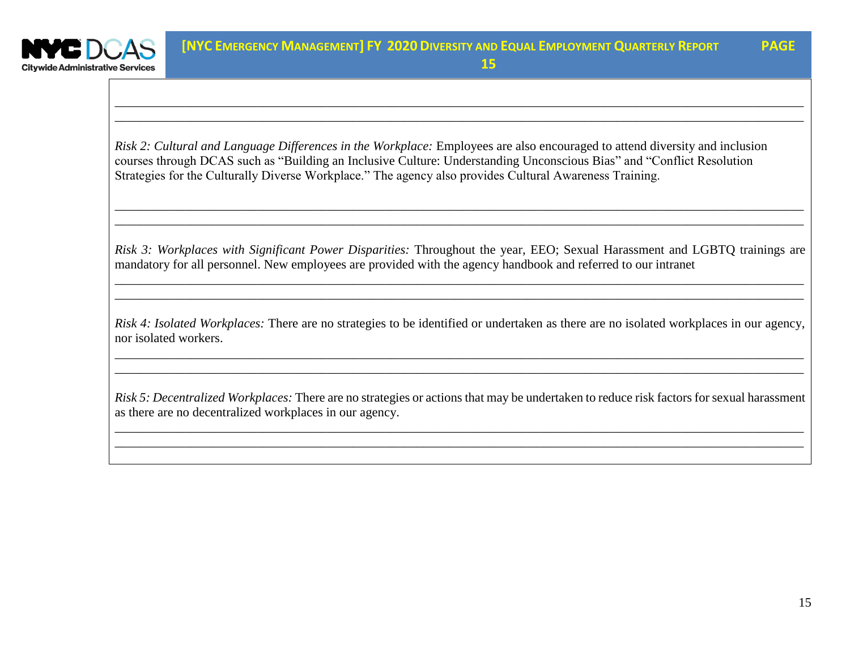

*\_\_\_\_\_\_\_\_\_\_\_\_\_\_\_\_\_\_\_\_\_\_\_\_\_\_\_\_\_\_\_\_\_\_\_\_\_\_\_\_\_\_\_\_\_\_\_\_\_\_\_\_\_\_\_\_\_\_\_\_\_\_\_\_\_\_\_\_\_\_\_\_\_\_\_\_\_\_\_\_\_\_\_\_\_\_\_\_\_\_\_\_\_\_\_\_\_\_\_\_\_\_\_\_\_\_\_ \_\_\_\_\_\_\_\_\_\_\_\_\_\_\_\_\_\_\_\_\_\_\_\_\_\_\_\_\_\_\_\_\_\_\_\_\_\_\_\_\_\_\_\_\_\_\_\_\_\_\_\_\_\_\_\_\_\_\_\_\_\_\_\_\_\_\_\_\_\_\_\_\_\_\_\_\_\_\_\_\_\_\_\_\_\_\_\_\_\_\_\_\_\_\_\_\_\_\_\_\_\_\_\_\_\_\_*

**15**

*Risk 2: Cultural and Language Differences in the Workplace:* Employees are also encouraged to attend diversity and inclusion courses through DCAS such as "Building an Inclusive Culture: Understanding Unconscious Bias" and "Conflict Resolution Strategies for the Culturally Diverse Workplace." The agency also provides Cultural Awareness Training.

*Risk 3: Workplaces with Significant Power Disparities:* Throughout the year, EEO; Sexual Harassment and LGBTQ trainings are mandatory for all personnel. New employees are provided with the agency handbook and referred to our intranet

*\_\_\_\_\_\_\_\_\_\_\_\_\_\_\_\_\_\_\_\_\_\_\_\_\_\_\_\_\_\_\_\_\_\_\_\_\_\_\_\_\_\_\_\_\_\_\_\_\_\_\_\_\_\_\_\_\_\_\_\_\_\_\_\_\_\_\_\_\_\_\_\_\_\_\_\_\_\_\_\_\_\_\_\_\_\_\_\_\_\_\_\_\_\_\_\_\_\_\_\_\_\_\_\_\_\_\_ \_\_\_\_\_\_\_\_\_\_\_\_\_\_\_\_\_\_\_\_\_\_\_\_\_\_\_\_\_\_\_\_\_\_\_\_\_\_\_\_\_\_\_\_\_\_\_\_\_\_\_\_\_\_\_\_\_\_\_\_\_\_\_\_\_\_\_\_\_\_\_\_\_\_\_\_\_\_\_\_\_\_\_\_\_\_\_\_\_\_\_\_\_\_\_\_\_\_\_\_\_\_\_\_\_\_\_*

*\_\_\_\_\_\_\_\_\_\_\_\_\_\_\_\_\_\_\_\_\_\_\_\_\_\_\_\_\_\_\_\_\_\_\_\_\_\_\_\_\_\_\_\_\_\_\_\_\_\_\_\_\_\_\_\_\_\_\_\_\_\_\_\_\_\_\_\_\_\_\_\_\_\_\_\_\_\_\_\_\_\_\_\_\_\_\_\_\_\_\_\_\_\_\_\_\_\_\_\_\_\_\_\_\_\_\_ \_\_\_\_\_\_\_\_\_\_\_\_\_\_\_\_\_\_\_\_\_\_\_\_\_\_\_\_\_\_\_\_\_\_\_\_\_\_\_\_\_\_\_\_\_\_\_\_\_\_\_\_\_\_\_\_\_\_\_\_\_\_\_\_\_\_\_\_\_\_\_\_\_\_\_\_\_\_\_\_\_\_\_\_\_\_\_\_\_\_\_\_\_\_\_\_\_\_\_\_\_\_\_\_\_\_\_*

*Risk 4: Isolated Workplaces:* There are no strategies to be identified or undertaken as there are no isolated workplaces in our agency, nor isolated workers.

*\_\_\_\_\_\_\_\_\_\_\_\_\_\_\_\_\_\_\_\_\_\_\_\_\_\_\_\_\_\_\_\_\_\_\_\_\_\_\_\_\_\_\_\_\_\_\_\_\_\_\_\_\_\_\_\_\_\_\_\_\_\_\_\_\_\_\_\_\_\_\_\_\_\_\_\_\_\_\_\_\_\_\_\_\_\_\_\_\_\_\_\_\_\_\_\_\_\_\_\_\_\_\_\_\_\_\_ \_\_\_\_\_\_\_\_\_\_\_\_\_\_\_\_\_\_\_\_\_\_\_\_\_\_\_\_\_\_\_\_\_\_\_\_\_\_\_\_\_\_\_\_\_\_\_\_\_\_\_\_\_\_\_\_\_\_\_\_\_\_\_\_\_\_\_\_\_\_\_\_\_\_\_\_\_\_\_\_\_\_\_\_\_\_\_\_\_\_\_\_\_\_\_\_\_\_\_\_\_\_\_\_\_\_\_*

*Risk 5: Decentralized Workplaces:* There are no strategies or actions that may be undertaken to reduce risk factors for sexual harassment as there are no decentralized workplaces in our agency.

*\_\_\_\_\_\_\_\_\_\_\_\_\_\_\_\_\_\_\_\_\_\_\_\_\_\_\_\_\_\_\_\_\_\_\_\_\_\_\_\_\_\_\_\_\_\_\_\_\_\_\_\_\_\_\_\_\_\_\_\_\_\_\_\_\_\_\_\_\_\_\_\_\_\_\_\_\_\_\_\_\_\_\_\_\_\_\_\_\_\_\_\_\_\_\_\_\_\_\_\_\_\_\_\_\_\_\_ \_\_\_\_\_\_\_\_\_\_\_\_\_\_\_\_\_\_\_\_\_\_\_\_\_\_\_\_\_\_\_\_\_\_\_\_\_\_\_\_\_\_\_\_\_\_\_\_\_\_\_\_\_\_\_\_\_\_\_\_\_\_\_\_\_\_\_\_\_\_\_\_\_\_\_\_\_\_\_\_\_\_\_\_\_\_\_\_\_\_\_\_\_\_\_\_\_\_\_\_\_\_\_\_\_\_\_*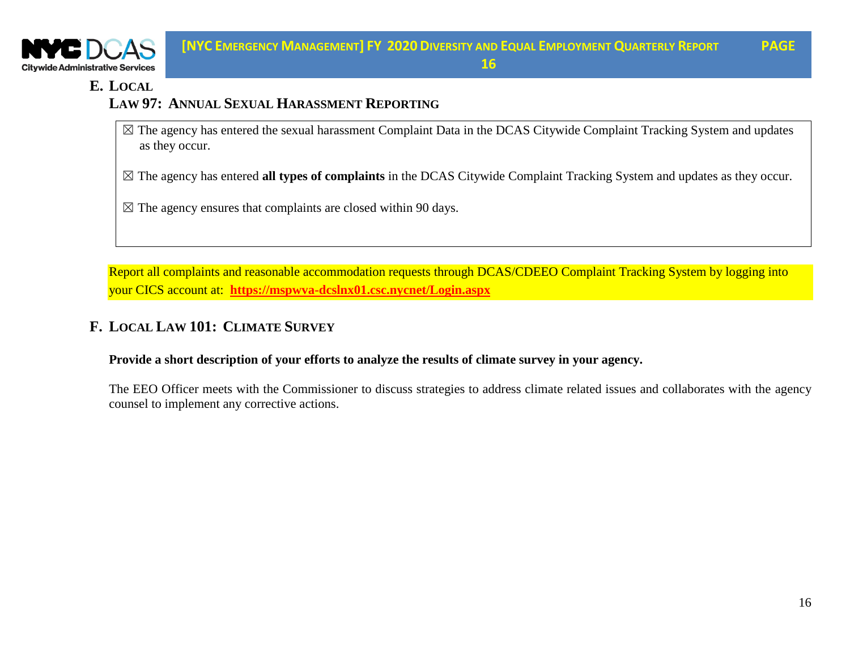

#### **E. LOCAL**

### **LAW 97: ANNUAL SEXUAL HARASSMENT REPORTING**

 $\boxtimes$  The agency has entered the sexual harassment Complaint Data in the DCAS Citywide Complaint Tracking System and updates as they occur.

☒ The agency has entered **all types of complaints** in the DCAS Citywide Complaint Tracking System and updates as they occur.

 $\boxtimes$  The agency ensures that complaints are closed within 90 days.

Report all complaints and reasonable accommodation requests through DCAS/CDEEO Complaint Tracking System by logging into your CICS account at: **<https://mspwva-dcslnx01.csc.nycnet/Login.aspx>**

## **F. LOCAL LAW 101: CLIMATE SURVEY**

**Provide a short description of your efforts to analyze the results of climate survey in your agency.**

The EEO Officer meets with the Commissioner to discuss strategies to address climate related issues and collaborates with the agency counsel to implement any corrective actions.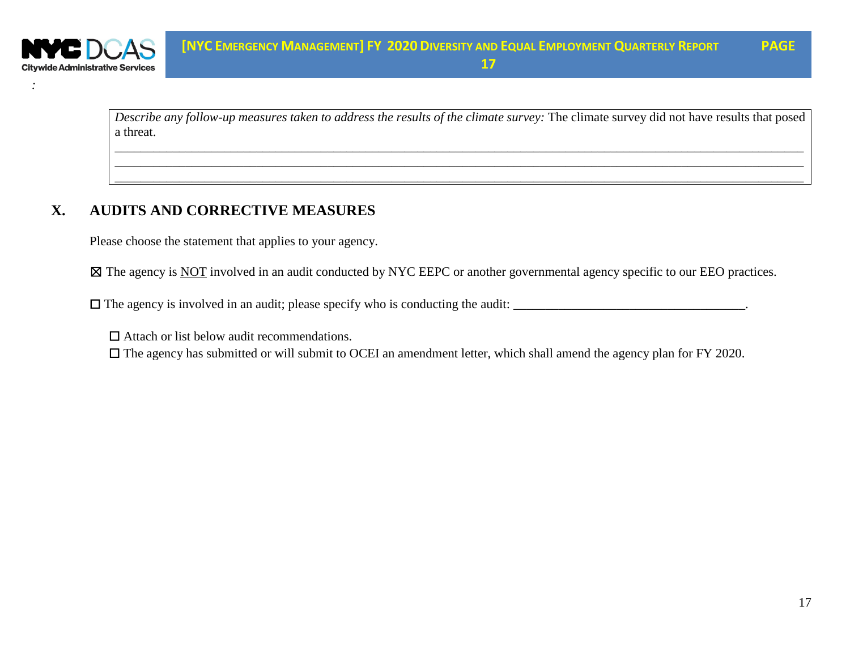

*Describe any follow-up measures taken to address the results of the climate survey:* The climate survey did not have results that posed a threat.

*\_\_\_\_\_\_\_\_\_\_\_\_\_\_\_\_\_\_\_\_\_\_\_\_\_\_\_\_\_\_\_\_\_\_\_\_\_\_\_\_\_\_\_\_\_\_\_\_\_\_\_\_\_\_\_\_\_\_\_\_\_\_\_\_\_\_\_\_\_\_\_\_\_\_\_\_\_\_\_\_\_\_\_\_\_\_\_\_\_\_\_\_\_\_\_\_\_\_\_\_\_\_\_\_\_\_\_ \_\_\_\_\_\_\_\_\_\_\_\_\_\_\_\_\_\_\_\_\_\_\_\_\_\_\_\_\_\_\_\_\_\_\_\_\_\_\_\_\_\_\_\_\_\_\_\_\_\_\_\_\_\_\_\_\_\_\_\_\_\_\_\_\_\_\_\_\_\_\_\_\_\_\_\_\_\_\_\_\_\_\_\_\_\_\_\_\_\_\_\_\_\_\_\_\_\_\_\_\_\_\_\_\_\_\_ \_\_\_\_\_\_\_\_\_\_\_\_\_\_\_\_\_\_\_\_\_\_\_\_\_\_\_\_\_\_\_\_\_\_\_\_\_\_\_\_\_\_\_\_\_\_\_\_\_\_\_\_\_\_\_\_\_\_\_\_\_\_\_\_\_\_\_\_\_\_\_\_\_\_\_\_\_\_\_\_\_\_\_\_\_\_\_\_\_\_\_\_\_\_\_\_\_\_\_\_\_\_\_\_\_\_\_*

#### **X. AUDITS AND CORRECTIVE MEASURES**

Please choose the statement that applies to your agency.

⊠ The agency is NOT involved in an audit conducted by NYC EEPC or another governmental agency specific to our EEO practices.

 $\Box$  The agency is involved in an audit; please specify who is conducting the audit:  $\Box$ 

 $\Box$  Attach or list below audit recommendations.

☐ The agency has submitted or will submit to OCEI an amendment letter, which shall amend the agency plan for FY 2020.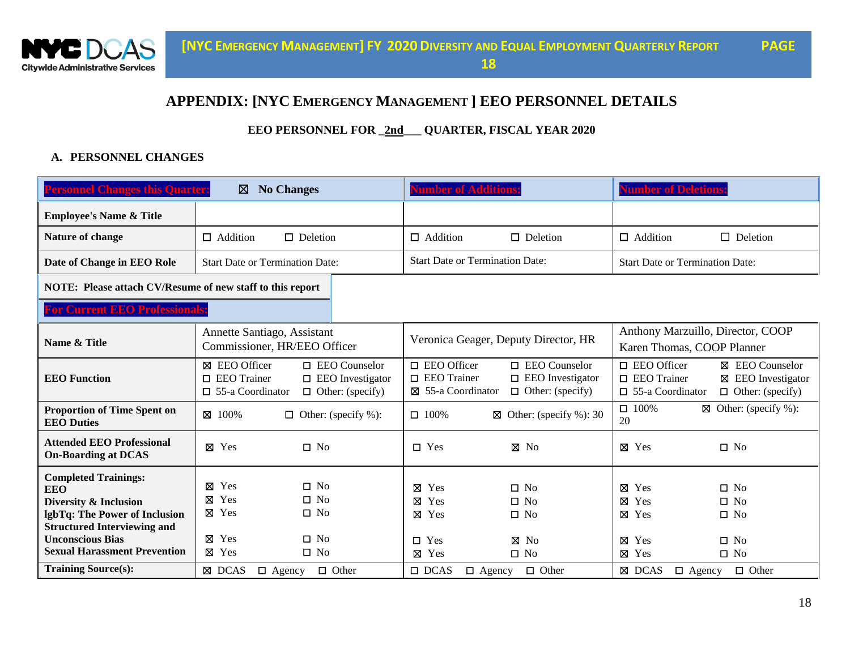

#### **APPENDIX: [NYC EMERGENCY MANAGEMENT ] EEO PERSONNEL DETAILS**

**EEO PERSONNEL FOR \_2nd\_\_\_ QUARTER, FISCAL YEAR 2020**

#### **A. PERSONNEL CHANGES**

| <b>Personnel Changes this Quarter:</b><br><b>No Changes</b><br>⊠                                                                                                                                            |                                                                                                                                                 | umber of Additions                                                         |                                                                          | <b>Number of Deletions</b>                                                    |                                                                                             |                                                                     |
|-------------------------------------------------------------------------------------------------------------------------------------------------------------------------------------------------------------|-------------------------------------------------------------------------------------------------------------------------------------------------|----------------------------------------------------------------------------|--------------------------------------------------------------------------|-------------------------------------------------------------------------------|---------------------------------------------------------------------------------------------|---------------------------------------------------------------------|
| <b>Employee's Name &amp; Title</b>                                                                                                                                                                          |                                                                                                                                                 |                                                                            |                                                                          |                                                                               |                                                                                             |                                                                     |
| Nature of change                                                                                                                                                                                            | $\Box$ Addition<br>$\Box$ Deletion                                                                                                              |                                                                            | $\Box$ Addition                                                          | $\Box$ Deletion                                                               | $\Box$ Addition                                                                             | $\Box$ Deletion                                                     |
| Date of Change in EEO Role                                                                                                                                                                                  | <b>Start Date or Termination Date:</b>                                                                                                          |                                                                            | <b>Start Date or Termination Date:</b>                                   |                                                                               | <b>Start Date or Termination Date:</b>                                                      |                                                                     |
| NOTE: Please attach CV/Resume of new staff to this report                                                                                                                                                   |                                                                                                                                                 |                                                                            |                                                                          |                                                                               |                                                                                             |                                                                     |
| <b>For Current EEO Professionals:</b>                                                                                                                                                                       |                                                                                                                                                 |                                                                            |                                                                          |                                                                               |                                                                                             |                                                                     |
| Name & Title                                                                                                                                                                                                | Annette Santiago, Assistant<br>Commissioner, HR/EEO Officer                                                                                     |                                                                            | Veronica Geager, Deputy Director, HR                                     |                                                                               | Anthony Marzuillo, Director, COOP<br>Karen Thomas, COOP Planner                             |                                                                     |
| <b>EEO</b> Function                                                                                                                                                                                         | ⊠ EEO Officer<br>$\Box$ EEO Trainer<br>$\Box$ 55-a Coordinator                                                                                  | $\Box$ EEO Counselor<br>$\Box$ EEO Investigator<br>$\Box$ Other: (specify) | $\square$ EEO Officer<br>$\Box$ EEO Trainer<br>⊠ 55-a Coordinator        | $\Box$ EEO Counselor<br>$\square$ EEO Investigator<br>$\Box$ Other: (specify) | $\Box$ EEO Officer<br>$\Box$ EEO Trainer<br>$\Box$ 55-a Coordinator                         | ⊠ EEO Counselor<br>⊠ EEO Investigator<br>$\Box$ Other: (specify)    |
| <b>Proportion of Time Spent on</b><br><b>EEO Duties</b>                                                                                                                                                     | ⊠ 100%                                                                                                                                          | $\Box$ Other: (specify %):                                                 | $\Box$ 100%<br>⊠                                                         | Other: (specify $\%$ ): 30                                                    | $\Box$ 100%<br>20                                                                           | $\boxtimes$ Other: (specify %):                                     |
| <b>Attended EEO Professional</b><br><b>On-Boarding at DCAS</b>                                                                                                                                              | $\square$ No<br>$\boxtimes$ Yes                                                                                                                 |                                                                            | $\Box$ Yes                                                               | $\boxtimes$ No                                                                | $\boxtimes$ Yes                                                                             | $\Box$ No                                                           |
| <b>Completed Trainings:</b><br><b>EEO</b><br>Diversity & Inclusion<br>lgbTq: The Power of Inclusion<br><b>Structured Interviewing and</b><br><b>Unconscious Bias</b><br><b>Sexual Harassment Prevention</b> | Yes<br>$\Box$<br>No.<br>⊠<br>Yes<br>$\Box$<br>N <sub>o</sub><br>⊠<br>⊠ Yes<br>$\square$ No<br>Yes<br>$\square$ No<br>⊠<br>⊠ Yes<br>$\square$ No |                                                                            | ⊠<br>Yes<br>⊠<br>Yes<br>$\boxtimes$ Yes<br>$\Box$ Yes<br>$\boxtimes$ Yes | $\Box$ No<br>$\Box$ No<br>$\Box$ No<br>⊠<br>N <sub>o</sub><br>$\square$ No    | $\boxtimes$ Yes<br>$\boxtimes$ Yes<br>$\boxtimes$ Yes<br>$\boxtimes$ Yes<br>$\boxtimes$ Yes | $\Box$ No<br>$\Box$ No<br>$\Box$ No<br>$\square$ No<br>$\square$ No |
| <b>Training Source(s):</b>                                                                                                                                                                                  | ⊠ DCAS<br>$\Box$ Agency                                                                                                                         | $\Box$ Other                                                               | $\Box$ DCAS<br>$\Box$ Agency                                             | $\Box$ Other                                                                  | ⊠ DCAS<br>$\Box$ Agency                                                                     | $\Box$ Other                                                        |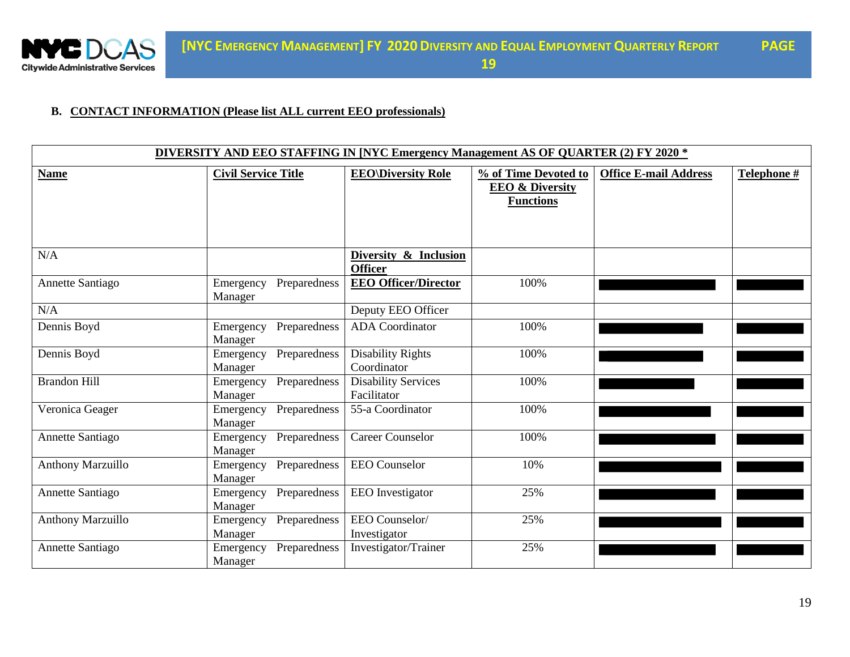

#### **B. CONTACT INFORMATION (Please list ALL current EEO professionals)**

| DIVERSITY AND EEO STAFFING IN [NYC Emergency Management AS OF QUARTER (2) FY 2020 * |                                      |                                           |                                                                        |                              |             |  |
|-------------------------------------------------------------------------------------|--------------------------------------|-------------------------------------------|------------------------------------------------------------------------|------------------------------|-------------|--|
| <b>Name</b>                                                                         | <b>Civil Service Title</b>           | <b>EEO\Diversity Role</b>                 | % of Time Devoted to<br><b>EEO &amp; Diversity</b><br><b>Functions</b> | <b>Office E-mail Address</b> | Telephone # |  |
| N/A                                                                                 |                                      | Diversity & Inclusion<br><b>Officer</b>   |                                                                        |                              |             |  |
| Annette Santiago                                                                    | Preparedness<br>Emergency<br>Manager | <b>EEO Officer/Director</b>               | 100%                                                                   |                              |             |  |
| N/A                                                                                 |                                      | Deputy EEO Officer                        |                                                                        |                              |             |  |
| Dennis Boyd                                                                         | Preparedness<br>Emergency<br>Manager | <b>ADA</b> Coordinator                    | 100%                                                                   |                              |             |  |
| Dennis Boyd                                                                         | Preparedness<br>Emergency<br>Manager | <b>Disability Rights</b><br>Coordinator   | 100%                                                                   |                              |             |  |
| <b>Brandon Hill</b>                                                                 | Preparedness<br>Emergency<br>Manager | <b>Disability Services</b><br>Facilitator | 100%                                                                   |                              |             |  |
| Veronica Geager                                                                     | Preparedness<br>Emergency<br>Manager | 55-a Coordinator                          | 100%                                                                   |                              |             |  |
| Annette Santiago                                                                    | Preparedness<br>Emergency<br>Manager | <b>Career Counselor</b>                   | 100%                                                                   |                              |             |  |
| <b>Anthony Marzuillo</b>                                                            | Preparedness<br>Emergency<br>Manager | <b>EEO</b> Counselor                      | 10%                                                                    |                              |             |  |
| Annette Santiago                                                                    | Preparedness<br>Emergency<br>Manager | <b>EEO</b> Investigator                   | 25%                                                                    |                              |             |  |
| <b>Anthony Marzuillo</b>                                                            | Preparedness<br>Emergency<br>Manager | EEO Counselor/<br>Investigator            | 25%                                                                    |                              |             |  |
| Annette Santiago                                                                    | Preparedness<br>Emergency<br>Manager | Investigator/Trainer                      | 25%                                                                    |                              |             |  |